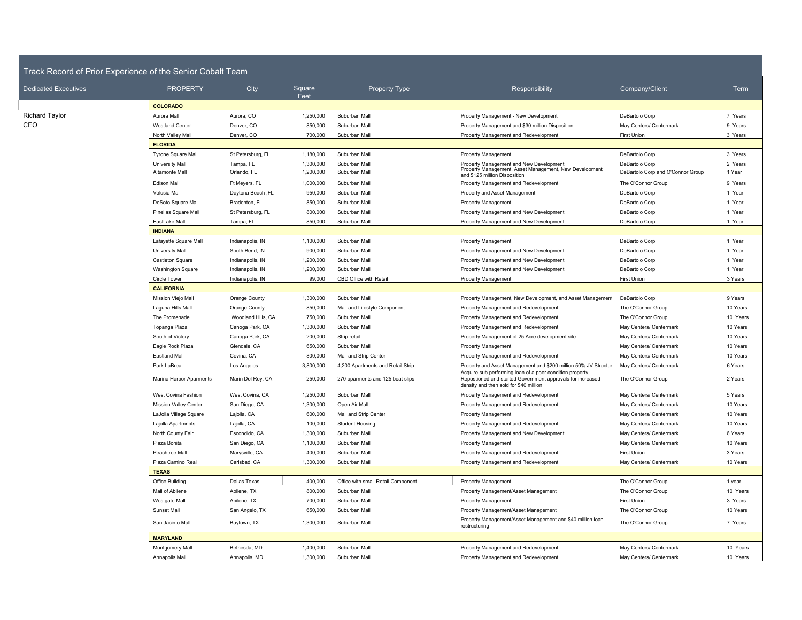## Track Record of Prior Experience of the Senior Cobalt Team

| <b>Dedicated Executives</b> | <b>PROPERTY</b>              | City                | Square<br>Feet | <b>Property Type</b>               | Responsibility                                                                                                                                                    | Company/Client                    | Term     |
|-----------------------------|------------------------------|---------------------|----------------|------------------------------------|-------------------------------------------------------------------------------------------------------------------------------------------------------------------|-----------------------------------|----------|
|                             | <b>COLORADO</b>              |                     |                |                                    |                                                                                                                                                                   |                                   |          |
| <b>Richard Taylor</b>       | Aurora Mall                  | Aurora, CO          | 1,250,000      | Suburban Mall                      | Property Management - New Development                                                                                                                             | DeBartolo Corp                    | 7 Years  |
| CEO                         | <b>Westland Center</b>       | Denver, CO          | 850,000        | Suburban Mall                      | Property Management and \$30 million Disposition                                                                                                                  | May Centers/ Centermark           | 9 Years  |
|                             | North Valley Mall            | Denver, CO          | 700,000        | Suburban Mall                      | Property Management and Redevelopment                                                                                                                             | <b>First Union</b>                | 3 Years  |
|                             | <b>FLORIDA</b>               |                     |                |                                    |                                                                                                                                                                   |                                   |          |
|                             | Tyrone Square Mall           | St Petersburg, FL   | 1,180,000      | Suburban Mall                      | <b>Property Management</b>                                                                                                                                        | DeBartolo Corp                    | 3 Years  |
|                             | University Mall              | Tampa, FL           | 1,300,000      | Suburban Mall                      | Property Management and New Development<br>Property Management, Asset Management, New Development                                                                 | DeBartolo Corp                    | 2 Years  |
|                             | Altamonte Mall               | Orlando, FL         | 1,200,000      | Suburban Mall                      | and \$125 million Disposition                                                                                                                                     | DeBartolo Corp and O'Connor Group | 1 Year   |
|                             | <b>Edison Mall</b>           | Ft Meyers, FL       | 1,000,000      | Suburban Mall                      | Property Management and Redevelopment                                                                                                                             | The O'Connor Group                | 9 Years  |
|                             | Volusia Mall                 | Daytona Beach, FL   | 950,000        | Suburban Mall                      | Property and Asset Management                                                                                                                                     | DeBartolo Corp                    | 1 Year   |
|                             | DeSoto Square Mall           | Bradenton, FL       | 850,000        | Suburban Mall                      | <b>Property Management</b>                                                                                                                                        | DeBartolo Corp                    | 1 Year   |
|                             | Pinellas Square Mall         | St Petersburg, FL   | 800,000        | Suburban Mall                      | Property Management and New Development                                                                                                                           | DeBartolo Corp                    | 1 Year   |
|                             | EastLake Mall                | Tampa, FL           | 850,000        | Suburban Mall                      | Property Management and New Development                                                                                                                           | DeBartolo Corp                    | 1 Year   |
|                             | <b>INDIANA</b>               |                     |                |                                    |                                                                                                                                                                   |                                   |          |
|                             | Lafayette Square Mall        | Indianapolis, IN    | 1,100,000      | Suburban Mall                      | <b>Property Management</b>                                                                                                                                        | DeBartolo Corp                    | 1 Year   |
|                             | University Mall              | South Bend, IN      | 900,000        | Suburban Mall                      | Property Management and New Development                                                                                                                           | DeBartolo Corp                    | 1 Year   |
|                             | Castleton Square             | Indianapolis, IN    | 1,200,000      | Suburban Mall                      | Property Management and New Development                                                                                                                           | DeBartolo Corp                    | 1 Year   |
|                             | <b>Washington Square</b>     | Indianapolis, IN    | 1,200,000      | Suburban Mall                      | Property Management and New Development                                                                                                                           | DeBartolo Corp                    | 1 Year   |
|                             | Circle Tower                 | Indianapolis, IN    | 99,000         | CBD Office with Retail             | <b>Property Management</b>                                                                                                                                        | <b>First Union</b>                | 3 Years  |
|                             | <b>CALIFORNIA</b>            |                     |                |                                    |                                                                                                                                                                   |                                   |          |
|                             | Mission Viejo Mall           | Orange County       | 1,300,000      | Suburban Mall                      | Property Management, New Development, and Asset Management                                                                                                        | DeBartolo Corp                    | 9 Years  |
|                             | Laguna Hills Mall            | Orange County       | 850,000        | Mall and Lifestyle Component       | Property Management and Redevelopment                                                                                                                             | The O'Connor Group                | 10 Years |
|                             | The Promenade                | Woodland Hills, CA  | 750,000        | Suburban Mall                      | Property Management and Redevelopment                                                                                                                             | The O'Connor Group                | 10 Years |
|                             | Topanga Plaza                | Canoga Park, CA     | 1,300,000      | Suburban Mall                      | Property Management and Redevelopment                                                                                                                             | May Centers/ Centermark           | 10 Years |
|                             | South of Victory             | Canoga Park, CA     | 200,000        | Strip retail                       | Property Management of 25 Acre development site                                                                                                                   | May Centers/ Centermark           | 10 Years |
|                             | Eagle Rock Plaza             | Glendale, CA        | 650,000        | Suburban Mall                      | <b>Property Management</b>                                                                                                                                        | May Centers/ Centermark           | 10 Years |
|                             | <b>Eastland Mall</b>         | Covina, CA          | 800,000        | Mall and Strip Center              | Property Management and Redevelopment                                                                                                                             | May Centers/ Centermark           | 10 Years |
|                             | Park LaBrea                  | Los Angeles         | 3,800,000      | 4,200 Apartments and Retail Strip  | Property and Asset Management and \$200 million 50% JV Structur                                                                                                   | May Centers/ Centermark           | 6 Years  |
|                             | Marina Harbor Aparments      | Marin Del Rey, CA   | 250,000        | 270 aparments and 125 boat slips   | Acquire sub performing loan of a poor condition property,<br>Repostioned and started Government approvals for increased<br>density and then sold for \$40 million | The O'Connor Group                | 2 Years  |
|                             | West Covina Fashion          | West Covina, CA     | 1,250,000      | Suburban Mall                      | Property Management and Redevelopment                                                                                                                             | May Centers/ Centermark           | 5 Years  |
|                             | <b>Mission Valley Center</b> | San Diego, CA       | 1,300,000      | Open Air Mall                      | Property Management and Redevelopment                                                                                                                             | May Centers/ Centermark           | 10 Years |
|                             | LaJolla Village Square       | Lajolla, CA         | 600,000        | Mall and Strip Center              | <b>Property Management</b>                                                                                                                                        | May Centers/ Centermark           | 10 Years |
|                             | Lajolla Apartmnbts           | Lajolla, CA         | 100,000        | <b>Student Housing</b>             | Property Management and Redevelopment                                                                                                                             | May Centers/ Centermark           | 10 Years |
|                             | North County Fair            | Escondido, CA       | 1,300,000      | Suburban Mall                      | Property Management and New Development                                                                                                                           | May Centers/ Centermark           | 6 Years  |
|                             | Plaza Bonita                 | San Diego, CA       | 1,100,000      | Suburban Mall                      | <b>Property Management</b>                                                                                                                                        | May Centers/ Centermark           | 10 Years |
|                             | Peachtree Mall               | Marysville, CA      | 400,000        | Suburban Mall                      | Property Management and Redevelopment                                                                                                                             | <b>First Union</b>                | 3 Years  |
|                             | Plaza Camino Real            | Carlsbad, CA        | 1,300,000      | Suburban Mall                      | Property Management and Redevelopment                                                                                                                             | May Centers/ Centermark           | 10 Years |
|                             | <b>TEXAS</b>                 |                     |                |                                    |                                                                                                                                                                   |                                   |          |
|                             | Office Building              | <b>Dallas Texas</b> | 400,000        | Office with small Retail Component | <b>Property Management</b>                                                                                                                                        | The O'Connor Group                | 1 year   |
|                             | Mall of Abilene              | Abilene, TX         | 800,000        | Suburban Mall                      | Property Management/Asset Management                                                                                                                              | The O'Connor Group                | 10 Years |
|                             | Westgate Mall                | Abilene, TX         | 700,000        | Suburban Mall                      | <b>Property Management</b>                                                                                                                                        | <b>First Union</b>                | 3 Years  |
|                             | Sunset Mall                  | San Angelo, TX      | 650,000        | Suburban Mall                      | Property Management/Asset Management                                                                                                                              | The O'Connor Group                | 10 Years |
|                             | San Jacinto Mall             | Baytown, TX         | 1,300,000      | Suburban Mall                      | Property Management/Asset Management and \$40 million loan<br>restructuring                                                                                       | The O'Connor Group                | 7 Years  |
|                             | <b>MARYLAND</b>              |                     |                |                                    |                                                                                                                                                                   |                                   |          |
|                             | Montgomery Mall              | Bethesda, MD        | 1,400,000      | Suburban Mall                      | Property Management and Redevelopment                                                                                                                             | May Centers/ Centermark           | 10 Years |
|                             | Annapolis Mall               | Annapolis, MD       | 1,300,000      | Suburban Mall                      | Property Management and Redevelopment                                                                                                                             | May Centers/ Centermark           | 10 Years |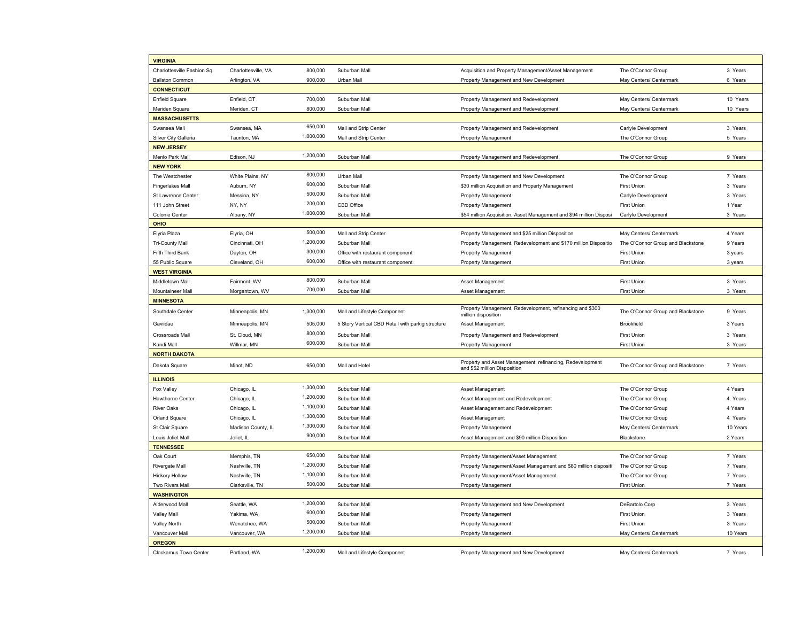| <b>VIRGINIA</b>            |                     |           |                                                   |                                                                                           |                                   |          |
|----------------------------|---------------------|-----------|---------------------------------------------------|-------------------------------------------------------------------------------------------|-----------------------------------|----------|
| Charlottesville Fashion Sq | Charlottesville, VA | 800,000   | Suburban Mall                                     | Acquisition and Property Management/Asset Management                                      | The O'Connor Group                | 3 Years  |
| <b>Ballston Common</b>     | Arlington, VA       | 900,000   | Urban Mall                                        | Property Management and New Development                                                   | May Centers/ Centermark           | 6 Years  |
| <b>CONNECTICUT</b>         |                     |           |                                                   |                                                                                           |                                   |          |
| <b>Enfield Square</b>      | Enfield, CT         | 700,000   | Suburban Mall                                     | Property Management and Redevelopment                                                     | May Centers/ Centermark           | 10 Years |
| Meriden Square             | Meriden, CT         | 800,000   | Suburban Mall                                     | Property Management and Redevelopment                                                     | May Centers/ Centermark           | 10 Years |
| <b>MASSACHUSETTS</b>       |                     |           |                                                   |                                                                                           |                                   |          |
| Swansea Mall               | Swansea, MA         | 650,000   | Mall and Strip Center                             | Property Management and Redevelopment                                                     | Carlyle Development               | 3 Years  |
| Silver City Galleria       | Taunton, MA         | 1,000,000 | Mall and Strip Center                             | <b>Property Management</b>                                                                | The O'Connor Group                | 5 Years  |
| <b>NEW JERSEY</b>          |                     |           |                                                   |                                                                                           |                                   |          |
| Menlo Park Mall            | Edison, NJ          | 1,200,000 | Suburban Mall                                     | Property Management and Redevelopment                                                     | The O'Connor Group                | 9 Years  |
| <b>NEW YORK</b>            |                     |           |                                                   |                                                                                           |                                   |          |
| The Westchester            | White Plains, NY    | 800,000   | Urban Mall                                        | Property Management and New Development                                                   | The O'Connor Group                | 7 Years  |
| <b>Fingerlakes Mall</b>    | Auburn, NY          | 600,000   | Suburban Mall                                     | \$30 million Acquisition and Property Management                                          | <b>First Union</b>                | 3 Years  |
| St Lawrence Center         | Messina, NY         | 500,000   | Suburban Mall                                     | <b>Property Management</b>                                                                | Carlyle Development               | 3 Years  |
| 111 John Street            | NY, NY              | 200,000   | CBD Office                                        | <b>Property Management</b>                                                                | First Union                       | 1 Year   |
| Colonie Center             | Albany, NY          | 1,000,000 | Suburban Mall                                     | \$54 million Acquisition, Asset Management and \$94 million Disposi                       | Carlyle Development               | 3 Years  |
| <b>OHIO</b>                |                     |           |                                                   |                                                                                           |                                   |          |
| Elyria Plaza               | Elyria, OH          | 500,000   | Mall and Strip Center                             | Property Management and \$25 million Disposition                                          | May Centers/ Centermark           | 4 Years  |
| <b>Tri-County Mall</b>     | Cincinnati, OH      | 1,200,000 | Suburban Mall                                     | Property Management, Redevelopment and \$170 million Dispositio                           | The O'Connor Group and Blackstone | 9 Years  |
| Fifth Third Bank           | Dayton, OH          | 300,000   | Office with restaurant component                  | <b>Property Management</b>                                                                | First Union                       | 3 years  |
| 55 Public Square           | Cleveland, OH       | 600,000   | Office with restaurant component                  | <b>Property Management</b>                                                                | First Union                       | 3 years  |
| <b>WEST VIRGINIA</b>       |                     |           |                                                   |                                                                                           |                                   |          |
| Middletown Mall            | Fairmont, WV        | 800,000   | Suburban Mall                                     | Asset Management                                                                          | <b>First Union</b>                | 3 Years  |
| Mountaineer Mall           | Morgantown, WV      | 700,000   | Suburban Mall                                     | Asset Management                                                                          | First Union                       | 3 Years  |
| <b>MINNESOTA</b>           |                     |           |                                                   |                                                                                           |                                   |          |
| Southdale Center           | Minneapolis, MN     | 1,300,000 | Mall and Lifestyle Component                      | Property Management, Redevelopment, refinancing and \$300<br>million disposition          | The O'Connor Group and Blackstone | 9 Years  |
| Gaviidae                   | Minneapolis, MN     | 505,000   | 5 Story Vertical CBD Retail with parkig structure | Asset Management                                                                          | Brookfield                        | 3 Years  |
| Crossroads Mall            | St. Cloud, MN       | 800,000   | Suburban Mall                                     | Property Management and Redevelopment                                                     | <b>First Union</b>                | 3 Years  |
| Kandi Mall                 | Willmar, MN         | 600,000   | Suburban Mall                                     | <b>Property Management</b>                                                                | <b>First Union</b>                | 3 Years  |
| <b>NORTH DAKOTA</b>        |                     |           |                                                   |                                                                                           |                                   |          |
| Dakota Square              | Minot, ND           | 650,000   | Mall and Hotel                                    | Property and Asset Management, refinancing, Redevelopment<br>and \$52 million Disposition | The O'Connor Group and Blackstone | 7 Years  |
| <b>ILLINOIS</b>            |                     |           |                                                   |                                                                                           |                                   |          |
| Fox Valley                 | Chicago, IL         | 1,300,000 | Suburban Mall                                     | Asset Management                                                                          | The O'Connor Group                | 4 Years  |
| Hawthorne Center           | Chicago, IL         | 1,200,000 | Suburban Mall                                     | Asset Management and Redevelopment                                                        | The O'Connor Group                | 4 Years  |
| <b>River Oaks</b>          | Chicago, IL         | 1,100,000 | Suburban Mall                                     | Asset Management and Redevelopment                                                        | The O'Connor Group                | 4 Years  |
| Orland Square              | Chicago, IL         | 1,300,000 | Suburban Mall                                     | Asset Management                                                                          | The O'Connor Group                | 4 Years  |
| St Clair Square            | Madison County, IL  | 1,300,000 | Suburban Mall                                     | <b>Property Management</b>                                                                | May Centers/ Centermark           | 10 Years |
| Louis Joliet Mall          | Joliet, IL          | 900,000   | Suburban Mall                                     | Asset Management and \$90 million Disposition                                             | Blackstone                        | 2 Years  |
| <b>TENNESSEE</b>           |                     |           |                                                   |                                                                                           |                                   |          |
| Oak Court                  | Memphis, TN         | 650,000   | Suburban Mall                                     | Property Management/Asset Management                                                      | The O'Connor Group                | 7 Years  |
| Rivergate Mall             | Nashville, TN       | 1,200,000 | Suburban Mall                                     | Property Management/Asset Management and \$80 million dispositi                           | The O'Connor Group                | 7 Years  |
| <b>Hickory Hollow</b>      | Nashville, TN       | 1,100,000 | Suburban Mall                                     | Property Management/Asset Management                                                      | The O'Connor Group                | 7 Years  |
| Two Rivers Mall            | Clarksville, TN     | 500,000   | Suburban Mall                                     | <b>Property Management</b>                                                                | First Union                       | 7 Years  |
| <b>WASHINGTON</b>          |                     |           |                                                   |                                                                                           |                                   |          |
| Alderwood Mall             | Seattle, WA         | 1,200,000 | Suburban Mall                                     | Property Management and New Development                                                   | DeBartolo Corp                    | 3 Years  |
| <b>Valley Mall</b>         | Yakima, WA          | 600,000   | Suburban Mall                                     | <b>Property Management</b>                                                                | <b>First Union</b>                | 3 Years  |
| Valley North               | Wenatchee, WA       | 500,000   | Suburban Mall                                     | <b>Property Management</b>                                                                | First Union                       | 3 Years  |
| Vancouver Mall             | Vancouver, WA       | 1,200,000 | Suburban Mall                                     | <b>Property Management</b>                                                                | May Centers/ Centermark           | 10 Years |
| <b>OREGON</b>              |                     |           |                                                   |                                                                                           |                                   |          |
| Clackamus Town Center      | Portland, WA        | 1,200,000 | Mall and Lifestyle Component                      | Property Management and New Development                                                   | May Centers/ Centermark           | 7 Years  |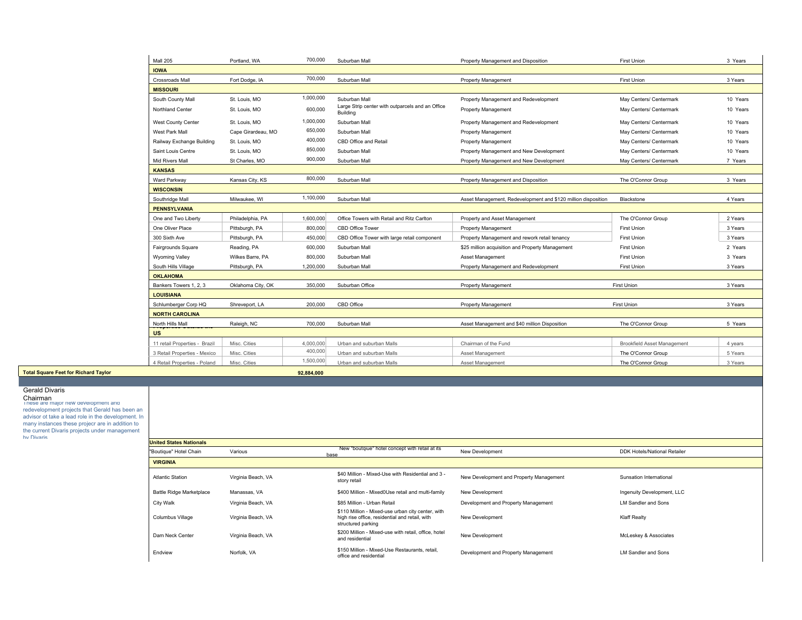|                                             | Mall 205                      | Portland, WA       | 700,000    | Suburban Mall                                                | Property Management and Disposition                           | First Union                 | 3 Years  |
|---------------------------------------------|-------------------------------|--------------------|------------|--------------------------------------------------------------|---------------------------------------------------------------|-----------------------------|----------|
|                                             | <b>IOWA</b>                   |                    |            |                                                              |                                                               |                             |          |
|                                             | <b>Crossroads Mall</b>        | Fort Dodge, IA     | 700,000    | Suburban Mall                                                | <b>Property Management</b>                                    | First Union                 | 3 Years  |
|                                             | <b>MISSOURI</b>               |                    |            |                                                              |                                                               |                             |          |
|                                             | South County Mall             | St. Louis, MO      | 1,000,000  | Suburban Mall                                                | Property Management and Redevelopment                         | May Centers/ Centermark     | 10 Years |
|                                             | <b>Northland Center</b>       | St. Louis, MO      | 600,000    | Large Strip center with outparcels and an Office<br>Building | <b>Property Management</b>                                    | May Centers/ Centermark     | 10 Years |
|                                             | <b>West County Center</b>     | St. Louis, MO      | 1,000,000  | Suburban Mall                                                | Property Management and Redevelopment                         | May Centers/ Centermark     | 10 Years |
|                                             | West Park Mall                | Cape Girardeau, MO | 650,000    | Suburban Mall                                                | <b>Property Management</b>                                    | May Centers/ Centermark     | 10 Years |
|                                             | Railway Exchange Building     | St. Louis, MO      | 400,000    | CBD Office and Retail                                        | <b>Property Management</b>                                    | May Centers/ Centermark     | 10 Years |
|                                             | Saint Louis Centre            | St. Louis, MO      | 850,000    | Suburban Mall                                                | Property Management and New Development                       | May Centers/ Centermark     | 10 Years |
|                                             | <b>Mid Rivers Mall</b>        | St Charles, MO     | 900,000    | Suburban Mall                                                | Property Management and New Development                       | May Centers/ Centermark     | 7 Years  |
|                                             | <b>KANSAS</b>                 |                    |            |                                                              |                                                               |                             |          |
|                                             | Ward Parkway                  | Kansas City, KS    | 800,000    | Suburban Mall                                                | Property Management and Disposition                           | The O'Connor Group          | 3 Years  |
|                                             | <b>WISCONSIN</b>              |                    |            |                                                              |                                                               |                             |          |
|                                             | Southridge Mall               | Milwaukee, WI      | 1,100,000  | Suburban Mall                                                | Asset Management, Redevelopment and \$120 million disposition | Blackstone                  | 4 Years  |
|                                             | <b>PENNSYLVANIA</b>           |                    |            |                                                              |                                                               |                             |          |
|                                             | One and Two Liberty           | Philadelphia, PA   | 1,600,000  | Office Towers with Retail and Ritz Carlton                   | Property and Asset Management                                 | The O'Connor Group          | 2 Years  |
|                                             | One Oliver Place              | Pittsburgh, PA     | 800,000    | CBD Office Tower                                             | <b>Property Management</b>                                    | <b>First Union</b>          | 3 Years  |
|                                             | 300 Sixth Ave                 | Pittsburgh, PA     | 450,000    | CBD Office Tower with large retail component                 | Property Management and rework retail tenancy                 | <b>First Union</b>          | 3 Years  |
|                                             | Fairgrounds Square            | Reading, PA        | 600,000    | Suburban Mall                                                | \$25 million acquisition and Property Management              | First Union                 | 2 Years  |
|                                             | <b>Wyoming Valley</b>         | Wilkes Barre, PA   | 800,000    | Suburban Mall                                                | Asset Management                                              | <b>First Union</b>          | 3 Years  |
|                                             | South Hills Village           | Pittsburgh, PA     | 1,200,000  | Suburban Mall                                                | Property Management and Redevelopment                         | <b>First Union</b>          | 3 Years  |
|                                             | <b>OKLAHOMA</b>               |                    |            |                                                              |                                                               |                             |          |
|                                             | Bankers Towers 1, 2, 3        | Oklahoma City, OK  | 350,000    | Suburban Office                                              | <b>Property Management</b>                                    | <b>First Union</b>          | 3 Years  |
|                                             | <b>LOUISIANA</b>              |                    |            |                                                              |                                                               |                             |          |
|                                             | Schlumberger Corp HQ          | Shreveport, LA     | 200,000    | CBD Office                                                   | <b>Property Management</b>                                    | First Union                 | 3 Years  |
|                                             | <b>NORTH CAROLINA</b>         |                    |            |                                                              |                                                               |                             |          |
|                                             | North Hills Mall              | Raleigh, NC        | 700,000    | Suburban Mall                                                | Asset Management and \$40 million Disposition                 | The O'Connor Group          | 5 Years  |
|                                             | <b>US</b>                     |                    |            |                                                              |                                                               |                             |          |
|                                             | 11 retail Properties - Brazil | Misc. Cities       | 4,000,000  | Urban and suburban Malls                                     | Chairman of the Fund                                          | Brookfield Asset Management | 4 years  |
|                                             | 3 Retail Properties - Mexico  | Misc. Cities       | 400,000    | Urban and suburban Malls                                     | Asset Management                                              | The O'Connor Group          | 5 Years  |
|                                             | 4 Retail Properties - Poland  | Misc. Cities       | 1,500,000  | Urban and suburban Malls                                     | Asset Management                                              | The O'Connor Group          | 3 Years  |
| <b>Total Square Feet for Richard Taylor</b> |                               |                    | 92.884.000 |                                                              |                                                               |                             |          |

## Gerald Divaris

 Chairman These are major new development and redevelopment projects that Gerald has been an advisor ot take a lead role in the development. In many instances these projecr are in addition to the current Divaris projects under management by Divaris **United States Nationals**

| <b>United States Nationals</b>  |                    |                                                                                                                           |                                         |                              |
|---------------------------------|--------------------|---------------------------------------------------------------------------------------------------------------------------|-----------------------------------------|------------------------------|
| "Boutique" Hotel Chain          | Various            | New "boutgiue" hotel concept with retail at its<br>base                                                                   | New Development                         | DDK Hotels/National Retailer |
| <b>VIRGINIA</b>                 |                    |                                                                                                                           |                                         |                              |
| <b>Atlantic Station</b>         | Virginia Beach, VA | \$40 Million - Mixed-Use with Residential and 3 -<br>story retail                                                         | New Development and Property Management | Sunsation International      |
| <b>Battle Ridge Marketplace</b> | Manassas, VA       | \$400 Million - Mixed0Use retail and multi-family                                                                         | New Development                         | Ingenuity Development, LLC   |
| City Walk                       | Virginia Beach, VA | \$85 Million - Urban Retail                                                                                               | Development and Property Management     | LM Sandler and Sons          |
| Columbus Village                | Virginia Beach, VA | \$110 Million - Mixed-use urban city center, with<br>high rise office, residential and retail, with<br>structured parking | New Development                         | <b>Klaff Realty</b>          |
| Dam Neck Center                 | Virginia Beach, VA | \$200 Million - Mixed-use with retail, office, hotel<br>and residential                                                   | New Development                         | McLeskey & Associates        |
| Endview                         | Norfolk, VA        | \$150 Million - Mixed-Use Restaurants, retail,<br>office and residential                                                  | Development and Property Management     | <b>LM Sandler and Sons</b>   |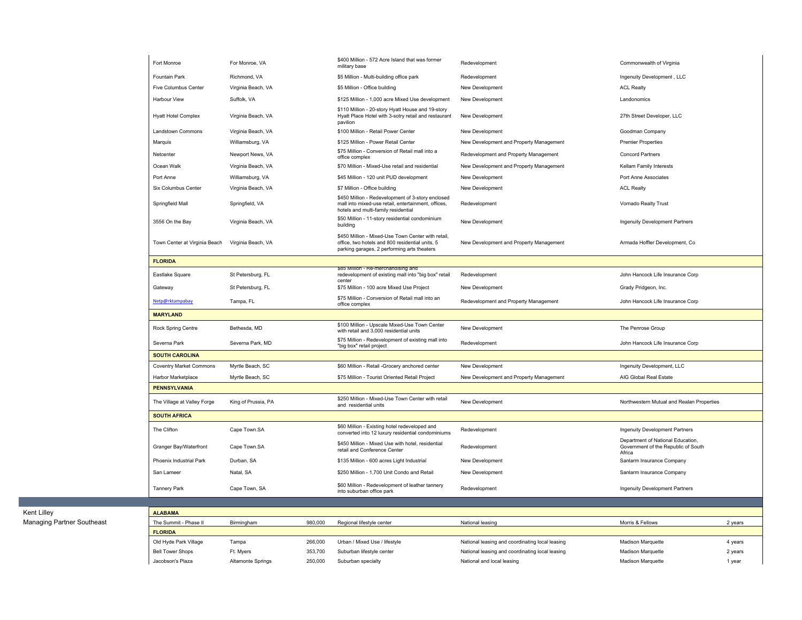| Fort Monroe                    | For Monroe, VA      | \$400 Million - 572 Acre Island that was former<br>military base                                                                                     | Redevelopment                           | Commonwealth of Virginia                                                           |
|--------------------------------|---------------------|------------------------------------------------------------------------------------------------------------------------------------------------------|-----------------------------------------|------------------------------------------------------------------------------------|
| <b>Fountain Park</b>           | Richmond, VA        | \$5 Million - Multi-building office park                                                                                                             | Redevelopment                           | Ingenuity Development, LLC                                                         |
| <b>Five Columbus Center</b>    | Virginia Beach, VA  | \$5 Million - Office building                                                                                                                        | New Development                         | <b>ACL Realty</b>                                                                  |
| <b>Harbour View</b>            | Suffolk, VA         | \$125 Million - 1,000 acre Mixed Use development                                                                                                     | New Development                         | Landonomics                                                                        |
| <b>Hyatt Hotel Complex</b>     | Virginia Beach, VA  | \$110 Million - 20-story Hyatt House and 19-story<br>Hyatt Place Hotel with 3-sotry retail and restaurant<br>pavilion                                | New Development                         | 27th Street Developer, LLC                                                         |
| Landstown Commons              | Virginia Beach, VA  | \$100 Million - Retail Power Center                                                                                                                  | New Development                         | Goodman Company                                                                    |
| Marquis                        | Williamsburg, VA    | \$125 Million - Power Retail Center                                                                                                                  | New Development and Property Management | <b>Premier Properties</b>                                                          |
| Netcenter                      | Newport News, VA    | \$75 Million - Conversion of Retail mall into a<br>office complex                                                                                    | Redevelopment and Property Management   | <b>Concord Partners</b>                                                            |
| Ocean Walk                     | Virginia Beach, VA  | \$70 Million - Mixed-Use retail and residential                                                                                                      | New Development and Property Management | Kellam Family Interests                                                            |
| Port Anne                      | Williamsburg, VA    | \$45 Million - 120 unit PUD development                                                                                                              | New Development                         | Port Anne Associates                                                               |
| Six Columbus Center            | Virginia Beach, VA  | \$7 Million - Office building                                                                                                                        | New Development                         | <b>ACL Realty</b>                                                                  |
| Springfield Mall               | Springfield, VA     | \$450 Million - Redevelopment of 3-story enclosed<br>mall into mixed-use retail, entertainment, offices,<br>hotels and multi-family residential      | Redevelopment                           | Vornado Realty Trust                                                               |
| 3556 On the Bay                | Virginia Beach, VA  | \$50 Million - 11-story residential condominium<br>building                                                                                          | New Development                         | Ingenuity Development Partners                                                     |
| Town Center at Virginia Beach  | Virginia Beach, VA  | \$450 Million - Mixed-Use Town Center with retail,<br>office, two hotels and 800 residential units, 5<br>parking garages, 2 performing arts theaters | New Development and Property Management | Armada Hoffler Development, Co                                                     |
| <b>FLORIDA</b>                 |                     |                                                                                                                                                      |                                         |                                                                                    |
| Eastlake Square                | St Petersburg, FL   | \$85 Million - Re-merchandising and<br>redevelopment of existing mall into "big box" retail<br>center                                                | Redevelopment                           | John Hancock Life Insurance Corp                                                   |
| Gateway                        | St Petersburg, FL   | \$75 Million - 100 acre Mixed Use Project                                                                                                            | New Development                         | Grady Pridgeon, Inc.                                                               |
| Netp@rktampabay                | Tampa, FL           | \$75 Million - Conversion of Retail mall into an<br>office complex                                                                                   | Redevelopment and Property Management   | John Hancock Life Insurance Corp                                                   |
| <b>MARYLAND</b>                |                     |                                                                                                                                                      |                                         |                                                                                    |
| Rock Spring Centre             | Bethesda, MD        | \$100 Million - Upscale Mixed-Use Town Center<br>with retail and 3,000 residential units                                                             | New Development                         | The Penrose Group                                                                  |
| Severna Park                   | Severna Park, MD    | \$75 Million - Redevelopment of existing mall into<br>"big box" retail project                                                                       | Redevelopment                           | John Hancock Life Insurance Corp                                                   |
| <b>SOUTH CAROLINA</b>          |                     |                                                                                                                                                      |                                         |                                                                                    |
| <b>Coventry Market Commons</b> | Myrtle Beach, SC    | \$60 Million - Retail - Grocery anchored center                                                                                                      | New Development                         | Ingenuity Development, LLC                                                         |
| Harbor Marketplace             | Myrtle Beach, SC    | \$75 Million - Tourist Oriented Retail Project                                                                                                       | New Development and Property Management | AIG Global Real Estate                                                             |
| <b>PENNSYLVANIA</b>            |                     |                                                                                                                                                      |                                         |                                                                                    |
| The Village at Valley Forge    | King of Prussia, PA | \$250 Million - Mixed-Use Town Center with retail<br>and residential units                                                                           | New Development                         | Northwestern Mutual and Realan Properties                                          |
| <b>SOUTH AFRICA</b>            |                     |                                                                                                                                                      |                                         |                                                                                    |
| The Clifton                    | Cape Town.SA        | \$60 Million - Existing hotel redeveloped and<br>converted into 12 luxury residential condominiums                                                   | Redevelopment                           | <b>Ingenuity Development Partners</b>                                              |
| Granger Bay/Waterfront         | Cape Town.SA        | \$450 Million - Mixed Use with hotel, residential<br>retail and Conference Center                                                                    | Redevelopment                           | Department of National Education,<br>Government of the Republic of South<br>Africa |
| Phoenix Industrial Park        | Durban, SA          | \$135 Million - 600 acres Light Industrial                                                                                                           | New Development                         | Sanlarm Insurance Company                                                          |
| San Lameer                     | Natal, SA           | \$250 Million - 1,700 Unit Condo and Retail                                                                                                          | New Development                         | Sanlarm Insurance Company                                                          |
| <b>Tannery Park</b>            | Cape Town, SA       | \$60 Million - Redevelopment of leather tannery<br>into suburban office park                                                                         | Redevelopment                           | Ingenuity Development Partners                                                     |
|                                |                     |                                                                                                                                                      |                                         |                                                                                    |
| <b>ALABAMA</b>                 |                     |                                                                                                                                                      |                                         |                                                                                    |

|  | Managing Partner Southeast |  |  |  |
|--|----------------------------|--|--|--|
|--|----------------------------|--|--|--|

| Kent Lilley                | <b>ALABAMA</b>          |                   |         |                               |                                                 |                          |         |
|----------------------------|-------------------------|-------------------|---------|-------------------------------|-------------------------------------------------|--------------------------|---------|
| Managing Partner Southeast | The Summit - Phase II   | Birmingham        | 980,000 | Regional lifestyle center     | National leasing                                | Morris & Fellows         | 2 years |
|                            | <b>FLORIDA</b>          |                   |         |                               |                                                 |                          |         |
|                            | Old Hyde Park Village   | Tampa             | 266,000 | Urban / Mixed Use / lifestyle | National leasing and coordinating local leasing | <b>Madison Marquette</b> | 4 years |
|                            | <b>Bell Tower Shops</b> | Ft. Myers         | 353,700 | Suburban lifestyle center     | National leasing and coordinating local leasing | <b>Madison Marquette</b> | 2 years |
|                            | Jacobson's Plaza        | Altamonte Springs | 250,000 | Suburban specialty            | National and local leasing                      | <b>Madison Marquette</b> | 1 year  |
|                            |                         |                   |         |                               |                                                 |                          |         |